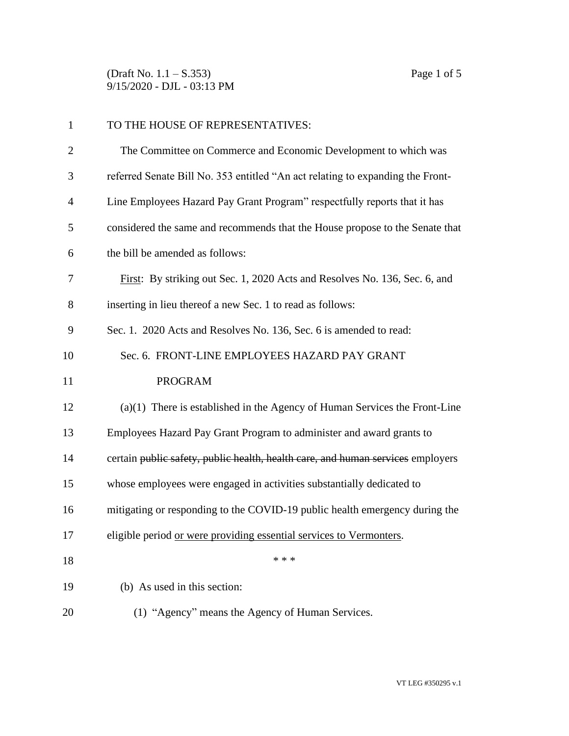(Draft No. 1.1 – S.353) Page 1 of 5 9/15/2020 - DJL - 03:13 PM

| $\mathbf{1}$   | TO THE HOUSE OF REPRESENTATIVES:                                                |
|----------------|---------------------------------------------------------------------------------|
| $\overline{2}$ | The Committee on Commerce and Economic Development to which was                 |
| 3              | referred Senate Bill No. 353 entitled "An act relating to expanding the Front-  |
| $\overline{4}$ | Line Employees Hazard Pay Grant Program" respectfully reports that it has       |
| 5              | considered the same and recommends that the House propose to the Senate that    |
| 6              | the bill be amended as follows:                                                 |
| 7              | First: By striking out Sec. 1, 2020 Acts and Resolves No. 136, Sec. 6, and      |
| 8              | inserting in lieu thereof a new Sec. 1 to read as follows:                      |
| 9              | Sec. 1. 2020 Acts and Resolves No. 136, Sec. 6 is amended to read:              |
| 10             | Sec. 6. FRONT-LINE EMPLOYEES HAZARD PAY GRANT                                   |
| 11             | <b>PROGRAM</b>                                                                  |
| 12             | $(a)(1)$ There is established in the Agency of Human Services the Front-Line    |
| 13             | Employees Hazard Pay Grant Program to administer and award grants to            |
| 14             | certain public safety, public health, health care, and human services employers |
| 15             | whose employees were engaged in activities substantially dedicated to           |
| 16             | mitigating or responding to the COVID-19 public health emergency during the     |
| 17             | eligible period or were providing essential services to Vermonters.             |
| 18             | * * *                                                                           |
| 19             | (b) As used in this section:                                                    |
|                |                                                                                 |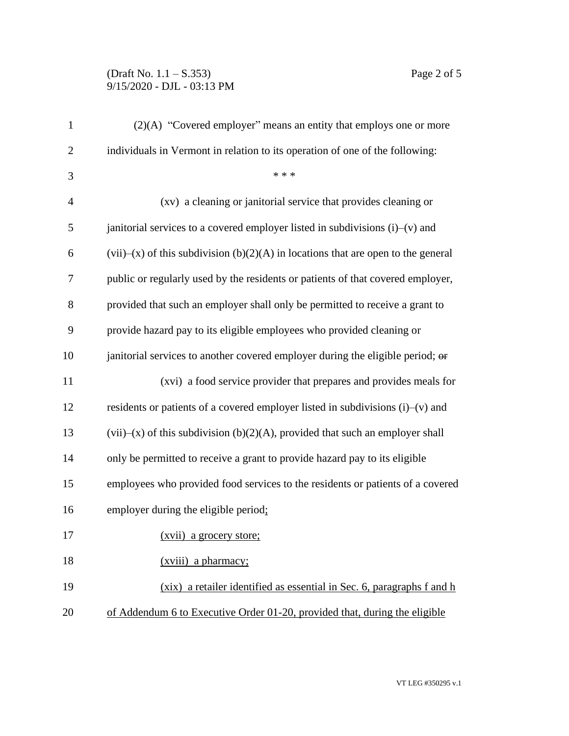## (Draft No. 1.1 – S.353) Page 2 of 5 9/15/2020 - DJL - 03:13 PM

| $\mathbf{1}$   | $(2)(A)$ "Covered employer" means an entity that employs one or more                 |
|----------------|--------------------------------------------------------------------------------------|
| $\overline{2}$ | individuals in Vermont in relation to its operation of one of the following:         |
| 3              | * * *                                                                                |
| $\overline{4}$ | (xv) a cleaning or janitorial service that provides cleaning or                      |
| 5              | janitorial services to a covered employer listed in subdivisions $(i)$ – $(v)$ and   |
| 6              | $(vii)$ (x) of this subdivision (b)(2)(A) in locations that are open to the general  |
| 7              | public or regularly used by the residents or patients of that covered employer,      |
| 8              | provided that such an employer shall only be permitted to receive a grant to         |
| 9              | provide hazard pay to its eligible employees who provided cleaning or                |
| 10             | janitorial services to another covered employer during the eligible period; or       |
| 11             | (xvi) a food service provider that prepares and provides meals for                   |
| 12             | residents or patients of a covered employer listed in subdivisions $(i)$ — $(v)$ and |
| 13             | $(vii)$ (x) of this subdivision (b)(2)(A), provided that such an employer shall      |
| 14             | only be permitted to receive a grant to provide hazard pay to its eligible           |
| 15             | employees who provided food services to the residents or patients of a covered       |
| 16             | employer during the eligible period;                                                 |
| 17             | (xvii) a grocery store;                                                              |
| 18             | (xviii) a pharmacy;                                                                  |
| 19             | (xix) a retailer identified as essential in Sec. 6, paragraphs f and h               |
| 20             | of Addendum 6 to Executive Order 01-20, provided that, during the eligible           |

VT LEG #350295 v.1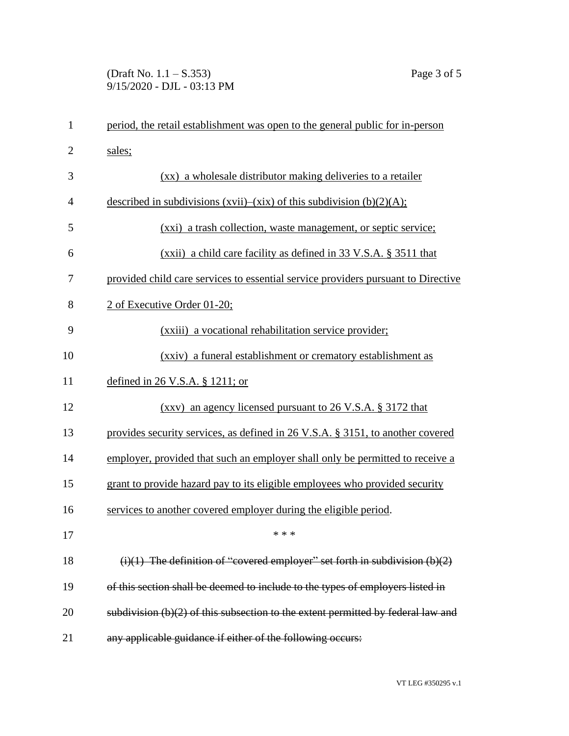## (Draft No. 1.1 – S.353) Page 3 of 5 9/15/2020 - DJL - 03:13 PM

| $\mathbf{1}$   | period, the retail establishment was open to the general public for in-person      |
|----------------|------------------------------------------------------------------------------------|
| $\overline{2}$ | sales;                                                                             |
| 3              | (xx) a wholesale distributor making deliveries to a retailer                       |
| $\overline{4}$ | described in subdivisions $(xvii)$ – $(xix)$ of this subdivision $(b)(2)(A)$ ;     |
| 5              | (xxi) a trash collection, waste management, or septic service;                     |
| 6              | (xxii) a child care facility as defined in 33 V.S.A. § 3511 that                   |
| 7              | provided child care services to essential service providers pursuant to Directive  |
| 8              | 2 of Executive Order 01-20;                                                        |
| 9              | (xxiii) a vocational rehabilitation service provider;                              |
| 10             | (xxiv) a funeral establishment or crematory establishment as                       |
| 11             | defined in $26$ V.S.A. § 1211; or                                                  |
| 12             | $(xxy)$ an agency licensed pursuant to 26 V.S.A. § 3172 that                       |
| 13             | provides security services, as defined in 26 V.S.A. § 3151, to another covered     |
| 14             | employer, provided that such an employer shall only be permitted to receive a      |
| 15             | grant to provide hazard pay to its eligible employees who provided security        |
| 16             | services to another covered employer during the eligible period.                   |
| 17             | * * *                                                                              |
| 18             | $(i)(1)$ The definition of "covered employer" set forth in subdivision $(b)(2)$    |
| 19             | of this section shall be deemed to include to the types of employers listed in     |
| 20             | subdivision $(b)(2)$ of this subsection to the extent permitted by federal law and |
| 21             | any applicable guidance if either of the following occurs:                         |
|                |                                                                                    |

VT LEG #350295 v.1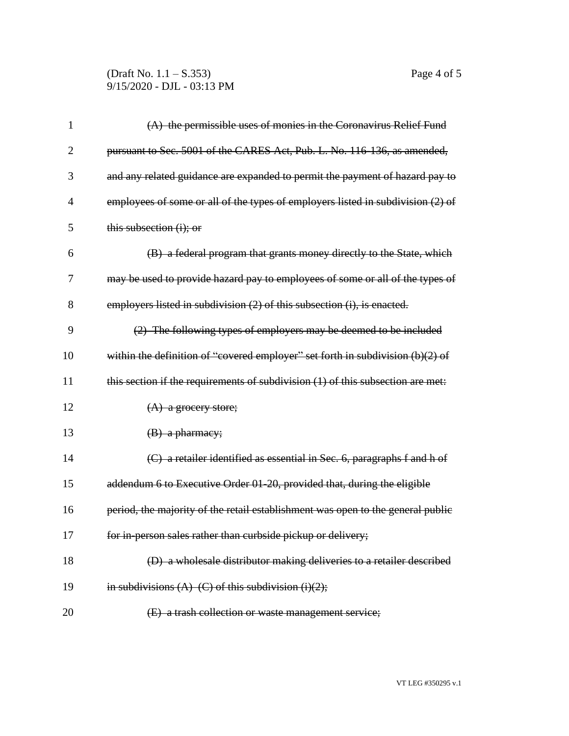(Draft No. 1.1 – S.353) Page 4 of 5 9/15/2020 - DJL - 03:13 PM

| 1              | $(A)$ the permissible uses of monies in the Coronavirus Relief Fund              |
|----------------|----------------------------------------------------------------------------------|
| $\overline{2}$ | pursuant to Sec. 5001 of the CARES Act, Pub. L. No. 116-136, as amended,         |
| 3              | and any related guidance are expanded to permit the payment of hazard pay to     |
| 4              | employees of some or all of the types of employers listed in subdivision (2) of  |
| 5              | this subsection (i); or                                                          |
| 6              | (B) a federal program that grants money directly to the State, which             |
| 7              | may be used to provide hazard pay to employees of some or all of the types of    |
| 8              | employers listed in subdivision (2) of this subsection (i), is enacted.          |
| 9              | (2) The following types of employers may be deemed to be included                |
| 10             | within the definition of "covered employer" set forth in subdivision $(b)(2)$ of |
| 11             | this section if the requirements of subdivision (1) of this subsection are met:  |
| 12             | $(A)$ a grocery store;                                                           |
| 13             | $(B)$ a pharmacy;                                                                |
| 14             | (C) a retailer identified as essential in Sec. 6, paragraphs f and h of          |
| 15             | addendum 6 to Executive Order 01-20, provided that, during the eligible          |
| 16             | period, the majority of the retail establishment was open to the general public  |
| 17             | for in-person sales rather than curbside pickup or delivery;                     |
| 18             | (D) a wholesale distributor making deliveries to a retailer described            |
| 19             | in subdivisions $(A)$ $(C)$ of this subdivision $(i)(2)$ ;                       |
| 20             | (E) a trash collection or waste management service;                              |